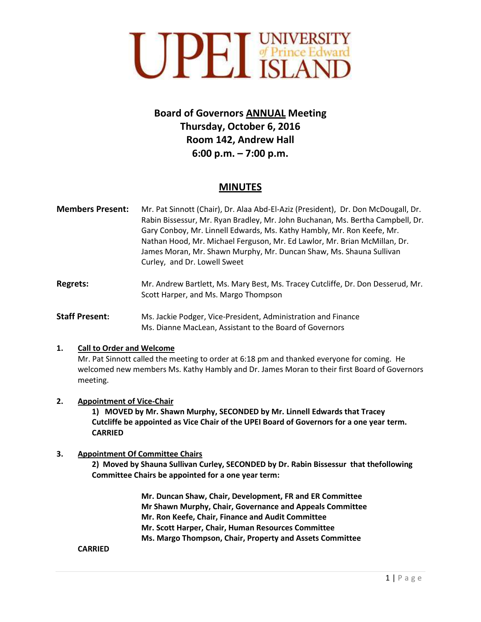

# **Board of Governors ANNUAL Meeting Thursday, October 6, 2016 Room 142, Andrew Hall 6:00 p.m. – 7:00 p.m.**

## **MINUTES**

- **Members Present:** Mr. Pat Sinnott (Chair), Dr. Alaa Abd-El-Aziz (President), Dr. Don McDougall, Dr. Rabin Bissessur, Mr. Ryan Bradley, Mr. John Buchanan, Ms. Bertha Campbell, Dr. Gary Conboy, Mr. Linnell Edwards, Ms. Kathy Hambly, Mr. Ron Keefe, Mr. Nathan Hood, Mr. Michael Ferguson, Mr. Ed Lawlor, Mr. Brian McMillan, Dr. James Moran, Mr. Shawn Murphy, Mr. Duncan Shaw, Ms. Shauna Sullivan Curley, and Dr. Lowell Sweet
- **Regrets:** Mr. Andrew Bartlett, Ms. Mary Best, Ms. Tracey Cutcliffe, Dr. Don Desserud, Mr. Scott Harper, and Ms. Margo Thompson
- **Staff Present:** Ms. Jackie Podger, Vice-President, Administration and Finance Ms. Dianne MacLean, Assistant to the Board of Governors

### **1. Call to Order and Welcome**

Mr. Pat Sinnott called the meeting to order at 6:18 pm and thanked everyone for coming. He welcomed new members Ms. Kathy Hambly and Dr. James Moran to their first Board of Governors meeting.

### **2. Appointment of Vice-Chair**

**1) MOVED by Mr. Shawn Murphy, SECONDED by Mr. Linnell Edwards that Tracey Cutcliffe be appointed as Vice Chair of the UPEI Board of Governors for a one year term. CARRIED**

### **3. Appointment Of Committee Chairs**

**2) Moved by Shauna Sullivan Curley, SECONDED by Dr. Rabin Bissessur that thefollowing Committee Chairs be appointed for a one year term:**

> **Mr. Duncan Shaw, Chair, Development, FR and ER Committee Mr Shawn Murphy, Chair, Governance and Appeals Committee Mr. Ron Keefe, Chair, Finance and Audit Committee Mr. Scott Harper, Chair, Human Resources Committee Ms. Margo Thompson, Chair, Property and Assets Committee**

### **CARRIED**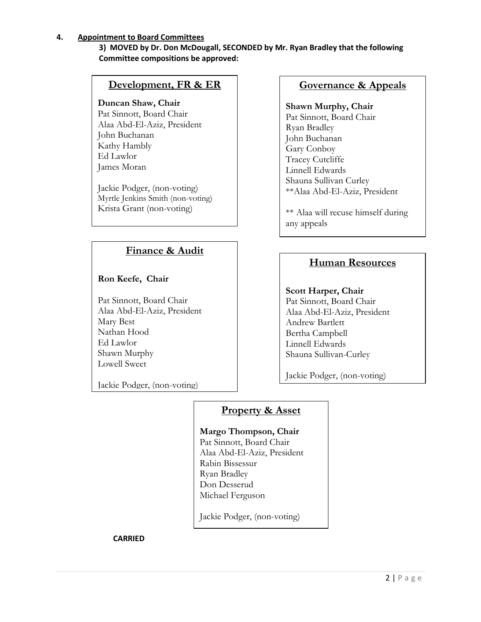### **4. Appointment to Board Committees**

### **3) MOVED by Dr. Don McDougall, SECONDED by Mr. Ryan Bradley that the following Committee compositions be approved:**

## **Development, FR & ER**

### **Duncan Shaw, Chair**

Pat Sinnott, Board Chair Alaa Abd-El-Aziz, President John Buchanan Kathy Hambly Ed Lawlor James Moran

Jackie Podger, (non-voting) Myrtle Jenkins Smith (non-voting) Krista Grant (non-voting)

## **Finance & Audit**

**Ron Keefe, Chair**

Pat Sinnott, Board Chair Alaa Abd-El-Aziz, President Mary Best Nathan Hood Ed Lawlor Shawn Murphy Lowell Sweet

Jackie Podger, (non-voting)

## **Governance & Appeals**

## **Shawn Murphy, Chair**

Pat Sinnott, Board Chair Ryan Bradley John Buchanan Gary Conboy Tracey Cutcliffe Linnell Edwards Shauna Sullivan Curley \*\*Alaa Abd-El-Aziz, President

\*\* Alaa will recuse himself during any appeals

## **Human Resources**

**Scott Harper, Chair** Pat Sinnott, Board Chair Alaa Abd-El-Aziz, President Andrew Bartlett Bertha Campbell Linnell Edwards Shauna Sullivan-Curley

Jackie Podger, (non-voting)

## **Property & Asset**

**Margo Thompson, Chair** Pat Sinnott, Board Chair Alaa Abd-El-Aziz, President Rabin Bissessur Ryan Bradley Don Desserud Michael Ferguson

Jackie Podger, (non-voting)

**CARRIED**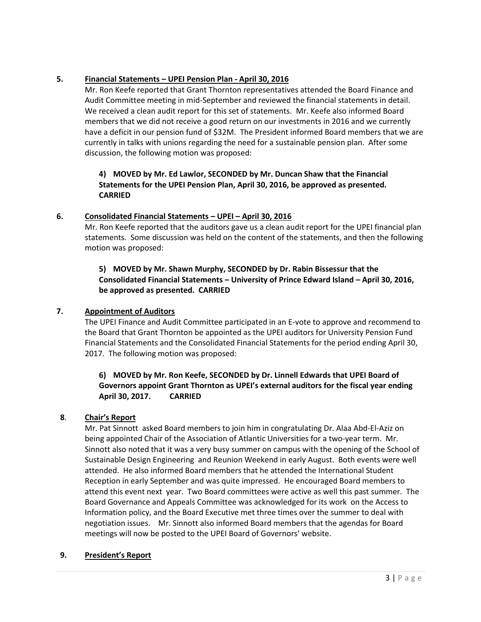## **5. Financial Statements – UPEI Pension Plan - April 30, 2016**

Mr. Ron Keefe reported that Grant Thornton representatives attended the Board Finance and Audit Committee meeting in mid-September and reviewed the financial statements in detail. We received a clean audit report for this set of statements. Mr. Keefe also informed Board members that we did not receive a good return on our investments in 2016 and we currently have a deficit in our pension fund of \$32M. The President informed Board members that we are currently in talks with unions regarding the need for a sustainable pension plan. After some discussion, the following motion was proposed:

## **4) MOVED by Mr. Ed Lawlor, SECONDED by Mr. Duncan Shaw that the Financial Statements for the UPEI Pension Plan, April 30, 2016, be approved as presented. CARRIED**

### **6. Consolidated Financial Statements – UPEI – April 30, 2016**

Mr. Ron Keefe reported that the auditors gave us a clean audit report for the UPEI financial plan statements. Some discussion was held on the content of the statements, and then the following motion was proposed:

## **5) MOVED by Mr. Shawn Murphy, SECONDED by Dr. Rabin Bissessur that the Consolidated Financial Statements – University of Prince Edward Island – April 30, 2016, be approved as presented. CARRIED**

### **7. Appointment of Auditors**

The UPEI Finance and Audit Committee participated in an E-vote to approve and recommend to the Board that Grant Thornton be appointed as the UPEI auditors for University Pension Fund Financial Statements and the Consolidated Financial Statements for the period ending April 30, 2017. The following motion was proposed:

### **6) MOVED by Mr. Ron Keefe, SECONDED by Dr. Linnell Edwards that UPEI Board of Governors appoint Grant Thornton as UPEI's external auditors for the fiscal year ending April 30, 2017. CARRIED**

### **8**. **Chair's Report**

Mr. Pat Sinnott asked Board members to join him in congratulating Dr. Alaa Abd-El-Aziz on being appointed Chair of the Association of Atlantic Universities for a two-year term. Mr. Sinnott also noted that it was a very busy summer on campus with the opening of the School of Sustainable Design Engineering and Reunion Weekend in early August. Both events were well attended. He also informed Board members that he attended the International Student Reception in early September and was quite impressed. He encouraged Board members to attend this event next year. Two Board committees were active as well this past summer. The Board Governance and Appeals Committee was acknowledged for its work on the Access to Information policy, and the Board Executive met three times over the summer to deal with negotiation issues. Mr. Sinnott also informed Board members that the agendas for Board meetings will now be posted to the UPEI Board of Governors' website.

### **9. President's Report**